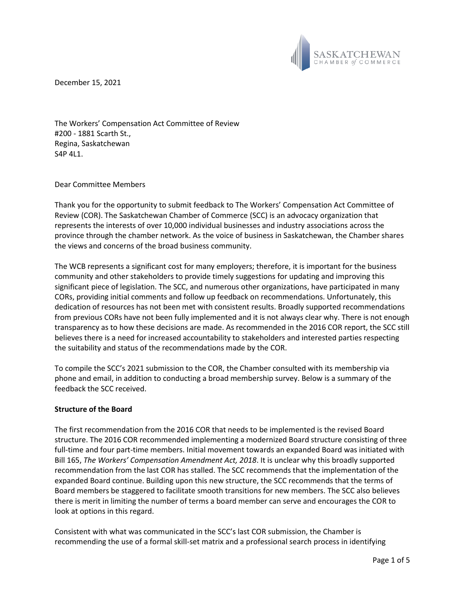

December 15, 2021

The Workers' Compensation Act Committee of Review #200 - 1881 Scarth St., Regina, Saskatchewan S4P 4L1.

## Dear Committee Members

Thank you for the opportunity to submit feedback to The Workers' Compensation Act Committee of Review (COR). The Saskatchewan Chamber of Commerce (SCC) is an advocacy organization that represents the interests of over 10,000 individual businesses and industry associations across the province through the chamber network. As the voice of business in Saskatchewan, the Chamber shares the views and concerns of the broad business community.

The WCB represents a significant cost for many employers; therefore, it is important for the business community and other stakeholders to provide timely suggestions for updating and improving this significant piece of legislation. The SCC, and numerous other organizations, have participated in many CORs, providing initial comments and follow up feedback on recommendations. Unfortunately, this dedication of resources has not been met with consistent results. Broadly supported recommendations from previous CORs have not been fully implemented and it is not always clear why. There is not enough transparency as to how these decisions are made. As recommended in the 2016 COR report, the SCC still believes there is a need for increased accountability to stakeholders and interested parties respecting the suitability and status of the recommendations made by the COR.

To compile the SCC's 2021 submission to the COR, the Chamber consulted with its membership via phone and email, in addition to conducting a broad membership survey. Below is a summary of the feedback the SCC received.

### **Structure of the Board**

The first recommendation from the 2016 COR that needs to be implemented is the revised Board structure. The 2016 COR recommended implementing a modernized Board structure consisting of three full-time and four part-time members. Initial movement towards an expanded Board was initiated with Bill 165, *The Workers' Compensation Amendment Act, 2018*. It is unclear why this broadly supported recommendation from the last COR has stalled. The SCC recommends that the implementation of the expanded Board continue. Building upon this new structure, the SCC recommends that the terms of Board members be staggered to facilitate smooth transitions for new members. The SCC also believes there is merit in limiting the number of terms a board member can serve and encourages the COR to look at options in this regard.

Consistent with what was communicated in the SCC's last COR submission, the Chamber is recommending the use of a formal skill-set matrix and a professional search process in identifying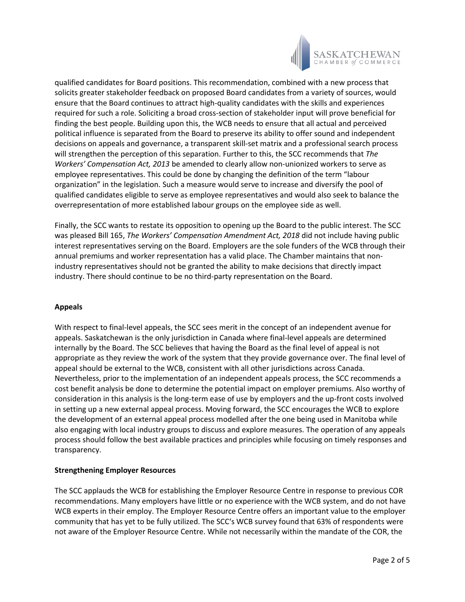

qualified candidates for Board positions. This recommendation, combined with a new process that solicits greater stakeholder feedback on proposed Board candidates from a variety of sources, would ensure that the Board continues to attract high-quality candidates with the skills and experiences required for such a role. Soliciting a broad cross-section of stakeholder input will prove beneficial for finding the best people. Building upon this, the WCB needs to ensure that all actual and perceived political influence is separated from the Board to preserve its ability to offer sound and independent decisions on appeals and governance, a transparent skill-set matrix and a professional search process will strengthen the perception of this separation. Further to this, the SCC recommends that *The Workers' Compensation Act, 2013* be amended to clearly allow non-unionized workers to serve as employee representatives. This could be done by changing the definition of the term "labour organization" in the legislation. Such a measure would serve to increase and diversify the pool of qualified candidates eligible to serve as employee representatives and would also seek to balance the overrepresentation of more established labour groups on the employee side as well.

Finally, the SCC wants to restate its opposition to opening up the Board to the public interest. The SCC was pleased Bill 165, *The Workers' Compensation Amendment Act, 2018* did not include having public interest representatives serving on the Board. Employers are the sole funders of the WCB through their annual premiums and worker representation has a valid place. The Chamber maintains that nonindustry representatives should not be granted the ability to make decisions that directly impact industry. There should continue to be no third-party representation on the Board.

# **Appeals**

With respect to final-level appeals, the SCC sees merit in the concept of an independent avenue for appeals. Saskatchewan is the only jurisdiction in Canada where final-level appeals are determined internally by the Board. The SCC believes that having the Board as the final level of appeal is not appropriate as they review the work of the system that they provide governance over. The final level of appeal should be external to the WCB, consistent with all other jurisdictions across Canada. Nevertheless, prior to the implementation of an independent appeals process, the SCC recommends a cost benefit analysis be done to determine the potential impact on employer premiums. Also worthy of consideration in this analysis is the long-term ease of use by employers and the up-front costs involved in setting up a new external appeal process. Moving forward, the SCC encourages the WCB to explore the development of an external appeal process modelled after the one being used in Manitoba while also engaging with local industry groups to discuss and explore measures. The operation of any appeals process should follow the best available practices and principles while focusing on timely responses and transparency.

# **Strengthening Employer Resources**

The SCC applauds the WCB for establishing the Employer Resource Centre in response to previous COR recommendations. Many employers have little or no experience with the WCB system, and do not have WCB experts in their employ. The Employer Resource Centre offers an important value to the employer community that has yet to be fully utilized. The SCC's WCB survey found that 63% of respondents were not aware of the Employer Resource Centre. While not necessarily within the mandate of the COR, the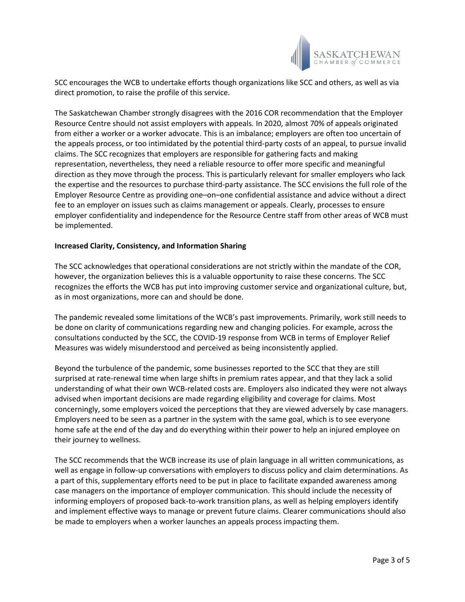

SCC encourages the WCB to undertake efforts though organizations like SCC and others, as well as via direct promotion, to raise the profile of this service.

The Saskatchewan Chamber strongly disagrees with the 2016 COR recommendation that the Employer Resource Centre should not assist employers with appeals. In 2020, almost 70% of appeals originated from either a worker or a worker advocate. This is an imbalance; employers are often too uncertain of the appeals process, or too intimidated by the potential third-party costs of an appeal, to pursue invalid claims. The SCC recognizes that employers are responsible for gathering facts and making representation, nevertheless, they need a reliable resource to offer more specific and meaningful direction as they move through the process. This is particularly relevant for smaller employers who lack the expertise and the resources to purchase third-party assistance. The SCC envisions the full role of the Employer Resource Centre as providing one–on–one confidential assistance and advice without a direct fee to an employer on issues such as claims management or appeals. Clearly, processes to ensure employer confidentiality and independence for the Resource Centre staff from other areas of WCB must be implemented.

### **Increased Clarity, Consistency, and Information Sharing**

The SCC acknowledges that operational considerations are not strictly within the mandate of the COR, however, the organization believes this is a valuable opportunity to raise these concerns. The SCC recognizes the efforts the WCB has put into improving customer service and organizational culture, but, as in most organizations, more can and should be done.

The pandemic revealed some limitations of the WCB's past improvements. Primarily, work still needs to be done on clarity of communications regarding new and changing policies. For example, across the consultations conducted by the SCC, the COVID-19 response from WCB in terms of Employer Relief Measures was widely misunderstood and perceived as being inconsistently applied.

Beyond the turbulence of the pandemic, some businesses reported to the SCC that they are still surprised at rate-renewal time when large shifts in premium rates appear, and that they lack a solid understanding of what their own WCB-related costs are. Employers also indicated they were not always advised when important decisions are made regarding eligibility and coverage for claims. Most concerningly, some employers voiced the perceptions that they are viewed adversely by case managers. Employers need to be seen as a partner in the system with the same goal, which is to see everyone home safe at the end of the day and do everything within their power to help an injured employee on their journey to wellness.

The SCC recommends that the WCB increase its use of plain language in all written communications, as well as engage in follow-up conversations with employers to discuss policy and claim determinations. As a part of this, supplementary efforts need to be put in place to facilitate expanded awareness among case managers on the importance of employer communication. This should include the necessity of informing employers of proposed back-to-work transition plans, as well as helping employers identify and implement effective ways to manage or prevent future claims. Clearer communications should also be made to employers when a worker launches an appeals process impacting them.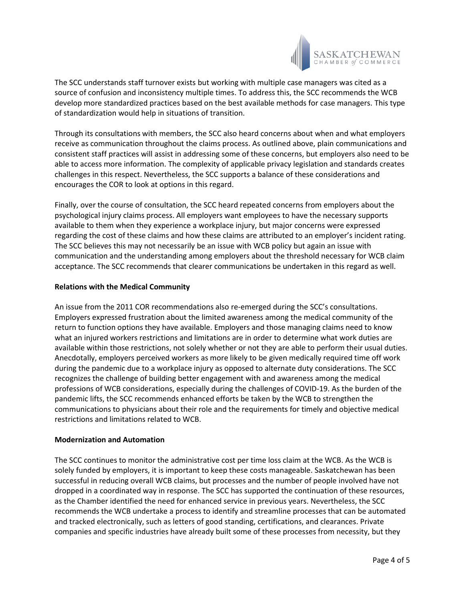

The SCC understands staff turnover exists but working with multiple case managers was cited as a source of confusion and inconsistency multiple times. To address this, the SCC recommends the WCB develop more standardized practices based on the best available methods for case managers. This type of standardization would help in situations of transition.

Through its consultations with members, the SCC also heard concerns about when and what employers receive as communication throughout the claims process. As outlined above, plain communications and consistent staff practices will assist in addressing some of these concerns, but employers also need to be able to access more information. The complexity of applicable privacy legislation and standards creates challenges in this respect. Nevertheless, the SCC supports a balance of these considerations and encourages the COR to look at options in this regard.

Finally, over the course of consultation, the SCC heard repeated concerns from employers about the psychological injury claims process. All employers want employees to have the necessary supports available to them when they experience a workplace injury, but major concerns were expressed regarding the cost of these claims and how these claims are attributed to an employer's incident rating. The SCC believes this may not necessarily be an issue with WCB policy but again an issue with communication and the understanding among employers about the threshold necessary for WCB claim acceptance. The SCC recommends that clearer communications be undertaken in this regard as well.

# **Relations with the Medical Community**

An issue from the 2011 COR recommendations also re-emerged during the SCC's consultations. Employers expressed frustration about the limited awareness among the medical community of the return to function options they have available. Employers and those managing claims need to know what an injured workers restrictions and limitations are in order to determine what work duties are available within those restrictions, not solely whether or not they are able to perform their usual duties. Anecdotally, employers perceived workers as more likely to be given medically required time off work during the pandemic due to a workplace injury as opposed to alternate duty considerations. The SCC recognizes the challenge of building better engagement with and awareness among the medical professions of WCB considerations, especially during the challenges of COVID-19. As the burden of the pandemic lifts, the SCC recommends enhanced efforts be taken by the WCB to strengthen the communications to physicians about their role and the requirements for timely and objective medical restrictions and limitations related to WCB.

### **Modernization and Automation**

The SCC continues to monitor the administrative cost per time loss claim at the WCB. As the WCB is solely funded by employers, it is important to keep these costs manageable. Saskatchewan has been successful in reducing overall WCB claims, but processes and the number of people involved have not dropped in a coordinated way in response. The SCC has supported the continuation of these resources, as the Chamber identified the need for enhanced service in previous years. Nevertheless, the SCC recommends the WCB undertake a process to identify and streamline processes that can be automated and tracked electronically, such as letters of good standing, certifications, and clearances. Private companies and specific industries have already built some of these processes from necessity, but they